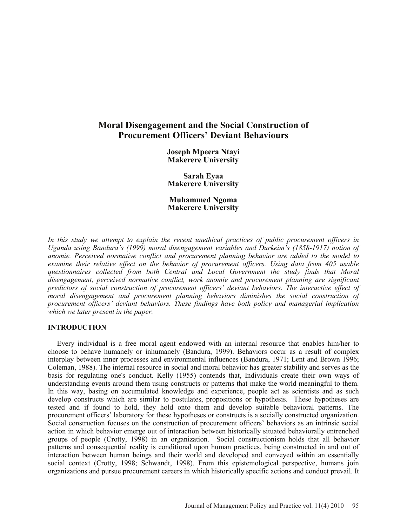# **Moral Disengagement and the Social Construction of Procurement Officers' Deviant Behaviours**

**Joseph Mpeera Ntayi Makerere University**

**Sarah Eyaa Makerere University**

**Muhammed Ngoma Makerere University**

*In this study we attempt to explain the recent unethical practices of public procurement officers in Uganda using Bandura's (1999) moral disengagement variables and Durkeim's (1858-1917) notion of anomie. Perceived normative conflict and procurement planning behavior are added to the model to examine their relative effect on the behavior of procurement officers. Using data from 405 usable questionnaires collected from both Central and Local Government the study finds that Moral disengagement, perceived normative conflict, work anomie and procurement planning are significant predictors of social construction of procurement officers' deviant behaviors. The interactive effect of moral disengagement and procurement planning behaviors diminishes the social construction of procurement officers' deviant behaviors. These findings have both policy and managerial implication which we later present in the paper.*

## **INTRODUCTION**

Every individual is a free moral agent endowed with an internal resource that enables him/her to choose to behave humanely or inhumanely (Bandura, 1999). Behaviors occur as a result of complex interplay between inner processes and environmental influences (Bandura, 1971; Lent and Brown 1996; Coleman, 1988). The internal resource in social and moral behavior has greater stability and serves as the basis for regulating one's conduct. Kelly (1955) contends that, Individuals create their own ways of understanding events around them using constructs or patterns that make the world meaningful to them. In this way, basing on accumulated knowledge and experience, people act as scientists and as such develop constructs which are similar to postulates, propositions or hypothesis. These hypotheses are tested and if found to hold, they hold onto them and develop suitable behavioral patterns. The procurement officers' laboratory for these hypotheses or constructs is a socially constructed organization. Social construction focuses on the construction of procurement officers' behaviors as an intrinsic social action in which behavior emerge out of interaction between historically situated behaviorally entrenched groups of people (Crotty, 1998) in an organization. Social constructionism holds that all behavior patterns and consequential reality is conditional upon human practices, being constructed in and out of interaction between human beings and their world and developed and conveyed within an essentially social context (Crotty, 1998; Schwandt, 1998). From this epistemological perspective, humans join organizations and pursue procurement careers in which historically specific actions and conduct prevail. It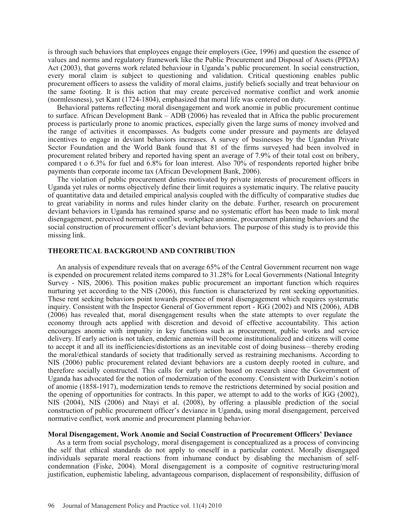is through such behaviors that employees engage their employers (Gee, 1996) and question the essence of values and norms and regulatory framework like the Public Procurement and Disposal of Assets (PPDA) Act (2003), that governs work related behaviour in Uganda's public procurement. In social construction, every moral claim is subject to questioning and validation. Critical questioning enables public procurement officers to assess the validity of moral claims, justify beliefs socially and treat behaviour on the same footing. It is this action that may create perceived normative conflict and work anomie (normlessness), yet Kant (1724-1804), emphasized that moral life was centered on duty.

Behavioral patterns reflecting moral disengagement and work anomie in public procurement continue to surface. African Development Bank – ADB (2006) has revealed that in Africa the public procurement process is particularly prone to anomic practices, especially given the large sums of money involved and the range of activities it encompasses. As budgets come under pressure and payments are delayed incentives to engage in deviant behaviors increases. A survey of businesses by the Ugandan Private Sector Foundation and the World Bank found that 81 of the firms surveyed had been involved in procurement related bribery and reported having spent an average of 7.9% of their total cost on bribery, compared t o 6.3% for fuel and 6.8% for loan interest. Also 70% of respondents reported higher bribe payments than corporate income tax (African Development Bank, 2006).

The violation of public procurement duties motivated by private interests of procurement officers in Uganda yet rules or norms objectively define their limit requires a systematic inquiry. The relative paucity of quantitative data and detailed empirical analysis coupled with the difficulty of comparative studies due to great variability in norms and rules hinder clarity on the debate. Further, research on procurement deviant behaviors in Uganda has remained sparse and no systematic effort has been made to link moral disengagement, perceived normative conflict, workplace anomie, procurement planning behaviors and the social construction of procurement officer's deviant behaviors. The purpose of this study is to provide this missing link.

#### **THEORETICAL BACKGROUND AND CONTRIBUTION**

An analysis of expenditure reveals that on average 65% of the Central Government recurrent non wage is expended on procurement related items compared to 31.28% for Local Governments (National Integrity Survey - NIS, 2006). This position makes public procurement an important function which requires nurturing yet according to the NIS (2006), this function is characterized by rent seeking opportunities. These rent seeking behaviors point towards presence of moral disengagement which requires systematic inquiry. Consistent with the Inspector General of Government report - IGG (2002) and NIS (2006), ADB (2006) has revealed that, moral disengagement results when the state attempts to over regulate the economy through acts applied with discretion and devoid of effective accountability. This action encourages anomie with impunity in key functions such as procurement, public works and service delivery. If early action is not taken, endemic anemia will become institutionalized and citizens will come to accept it and all its inefficiencies/distortions as an inevitable cost of doing business—thereby eroding the moral/ethical standards of society that traditionally served as restraining mechanisms. According to NIS (2006) public procurement related deviant behaviors are a custom deeply rooted in culture, and therefore socially constructed. This calls for early action based on research since the Government of Uganda has advocated for the notion of modernization of the economy. Consistent with Durkeim's notion of anomie (1858-1917), modernization tends to remove the restrictions determined by social position and the opening of opportunities for contracts. In this paper, we attempt to add to the works of IGG (2002), NIS (2004), NIS (2006) and Ntayi et al. (2008), by offering a plausible prediction of the social construction of public procurement officer's deviance in Uganda, using moral disengagement, perceived normative conflict, work anomie and procurement planning behavior.

### **Moral Disengagement, Work Anomie and Social Construction of Procurement Officers' Deviance**

As a term from social psychology, moral disengagement is conceptualized as a process of convincing the self that ethical standards do not apply to oneself in a particular context. Morally disengaged individuals separate moral reactions from inhumane conduct by disabling the mechanism of selfcondemnation (Fiske, 2004). Moral disengagement is a composite of cognitive restructuring/moral justification, euphemistic labeling, advantageous comparison, displacement of responsibility, diffusion of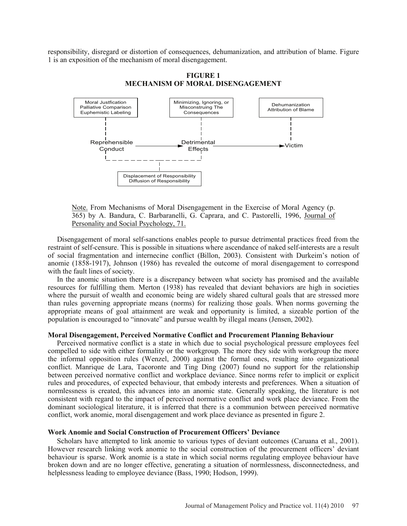responsibility, disregard or distortion of consequences, dehumanization, and attribution of blame. Figure 1 is an exposition of the mechanism of moral disengagement.



**FIGURE 1 MECHANISM OF MORAL DISENGAGEMENT**

Note. From Mechanisms of Moral Disengagement in the Exercise of Moral Agency (p. 365) by A. Bandura, C. Barbaranelli, G. Caprara, and C. Pastorelli, 1996, Journal of Personality and Social Psychology, 71.

Disengagement of moral self-sanctions enables people to pursue detrimental practices freed from the restraint of self-censure. This is possible in situations where ascendance of naked self-interests are a result of social fragmentation and internecine conflict (Billon, 2003). Consistent with Durkeim's notion of anomie (1858-1917), Johnson (1986) has revealed the outcome of moral disengagement to correspond with the fault lines of society.

In the anomic situation there is a discrepancy between what society has promised and the available resources for fulfilling them. Merton (1938) has revealed that deviant behaviors are high in societies where the pursuit of wealth and economic being are widely shared cultural goals that are stressed more than rules governing appropriate means (norms) for realizing those goals. When norms governing the appropriate means of goal attainment are weak and opportunity is limited, a sizeable portion of the population is encouraged to "innovate" and pursue wealth by illegal means (Jensen, 2002).

#### **Moral Disengagement, Perceived Normative Conflict and Procurement Planning Behaviour**

Perceived normative conflict is a state in which due to social psychological pressure employees feel compelled to side with either formality or the workgroup. The more they side with workgroup the more the informal opposition rules (Wenzel, 2000) against the formal ones, resulting into organizational conflict. Manrique de Lara, Tacoronte and Ting Ding (2007) found no support for the relationship between perceived normative conflict and workplace deviance. Since norms refer to implicit or explicit rules and procedures, of expected behaviour, that embody interests and preferences. When a situation of normlessness is created, this advances into an anomic state. Generally speaking, the literature is not consistent with regard to the impact of perceived normative conflict and work place deviance. From the dominant sociological literature, it is inferred that there is a communion between perceived normative conflict, work anomie, moral disengagement and work place deviance as presented in figure 2.

### **Work Anomie and Social Construction of Procurement Officers' Deviance**

Scholars have attempted to link anomie to various types of deviant outcomes (Caruana et al., 2001). However research linking work anomie to the social construction of the procurement officers' deviant behaviour is sparse. Work anomie is a state in which social norms regulating employee behaviour have broken down and are no longer effective, generating a situation of normlessness, disconnectedness, and helplessness leading to employee deviance (Bass, 1990; Hodson, 1999).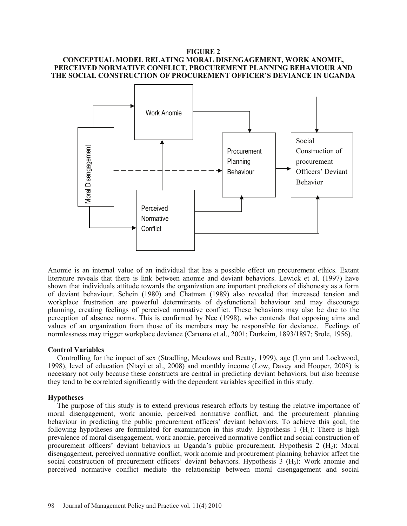# **FIGURE 2 CONCEPTUAL MODEL RELATING MORAL DISENGAGEMENT, WORK ANOMIE, PERCEIVED NORMATIVE CONFLICT, PROCUREMENT PLANNING BEHAVIOUR AND THE SOCIAL CONSTRUCTION OF PROCUREMENT OFFICER'S DEVIANCE IN UGANDA**



Anomie is an internal value of an individual that has a possible effect on procurement ethics. Extant literature reveals that there is link between anomie and deviant behaviors. Lewick et al. (1997) have shown that individuals attitude towards the organization are important predictors of dishonesty as a form of deviant behaviour. Schein (1980) and Chatman (1989) also revealed that increased tension and workplace frustration are powerful determinants of dysfunctional behaviour and may discourage planning, creating feelings of perceived normative conflict. These behaviors may also be due to the perception of absence norms. This is confirmed by Nee (1998), who contends that opposing aims and values of an organization from those of its members may be responsible for deviance. Feelings of normlessness may trigger workplace deviance (Caruana et al., 2001; Durkeim, 1893/1897; Srole, 1956).

## **Control Variables**

Controlling for the impact of sex (Stradling, Meadows and Beatty, 1999), age (Lynn and Lockwood, 1998), level of education (Ntayi et al., 2008) and monthly income (Low, Davey and Hooper, 2008) is necessary not only because these constructs are central in predicting deviant behaviors, but also because they tend to be correlated significantly with the dependent variables specified in this study.

## **Hypotheses**

The purpose of this study is to extend previous research efforts by testing the relative importance of moral disengagement, work anomie, perceived normative conflict, and the procurement planning behaviour in predicting the public procurement officers' deviant behaviors. To achieve this goal, the following hypotheses are formulated for examination in this study. Hypothesis 1  $(H_1)$ : There is high prevalence of moral disengagement, work anomie, perceived normative conflict and social construction of procurement officers' deviant behaviors in Uganda's public procurement. Hypothesis  $2 \text{ (H}_2)$ : Moral disengagement, perceived normative conflict, work anomie and procurement planning behavior affect the social construction of procurement officers' deviant behaviors. Hypothesis  $3 \text{ (H}_3)$ : Work anomie and perceived normative conflict mediate the relationship between moral disengagement and social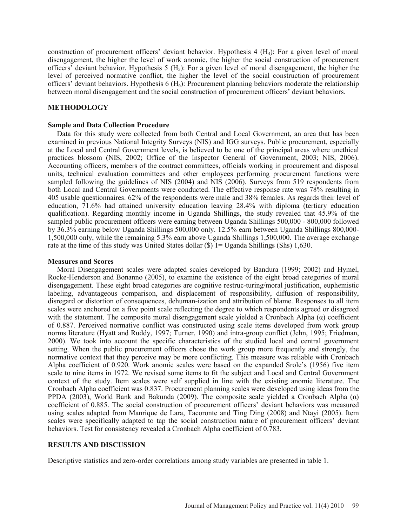construction of procurement officers' deviant behavior. Hypothesis 4  $(H<sub>4</sub>)$ : For a given level of moral disengagement, the higher the level of work anomie, the higher the social construction of procurement officers' deviant behavior. Hypothesis 5  $(H_5)$ : For a given level of moral disengagement, the higher the level of perceived normative conflict, the higher the level of the social construction of procurement officers' deviant behaviors. Hypothesis 6  $(H_6)$ : Procurement planning behaviors moderate the relationship between moral disengagement and the social construction of procurement officers' deviant behaviors.

# **METHODOLOGY**

### **Sample and Data Collection Procedure**

Data for this study were collected from both Central and Local Government, an area that has been examined in previous National Integrity Surveys (NIS) and IGG surveys. Public procurement, especially at the Local and Central Government levels, is believed to be one of the principal areas where unethical practices blossom (NIS, 2002; Office of the Inspector General of Government, 2003; NIS, 2006). Accounting officers, members of the contract committees, officials working in procurement and disposal units, technical evaluation committees and other employees performing procurement functions were sampled following the guidelines of NIS (2004) and NIS (2006). Surveys from 519 respondents from both Local and Central Governments were conducted. The effective response rate was 78% resulting in 405 usable questionnaires. 62% of the respondents were male and 38% females. As regards their level of education, 71.6% had attained university education leaving 28.4% with diploma (tertiary education qualification). Regarding monthly income in Uganda Shillings, the study revealed that 45.9% of the sampled public procurement officers were earning between Uganda Shillings 500,000 - 800,000 followed by 36.3% earning below Uganda Shillings 500,000 only. 12.5% earn between Uganda Shillings 800,000- 1,500,000 only, while the remaining 5.3% earn above Uganda Shillings 1,500,000. The average exchange rate at the time of this study was United States dollar  $(\$)$  1= Uganda Shillings (Shs) 1,630.

### **Measures and Scores**

Moral Disengagement scales were adapted scales developed by Bandura (1999; 2002) and Hymel, Rocke-Henderson and Bonanno (2005), to examine the existence of the eight broad categories of moral disengagement. These eight broad categories are cognitive restruc-turing/moral justification, euphemistic labeling, advantageous comparison, and displacement of responsibility, diffusion of responsibility, disregard or distortion of consequences, dehuman-ization and attribution of blame. Responses to all item scales were anchored on a five point scale reflecting the degree to which respondents agreed or disagreed with the statement. The composite moral disengagement scale yielded a Cronbach Alpha $\alpha$ ) coefficient of 0.887. Perceived normative conflict was constructed using scale items developed from work group norms literature (Hyatt and Ruddy, 1997; Turner, 1990) and intra-group conflict (Jehn, 1995; Friedman, 2000). We took into account the specific characteristics of the studied local and central government setting. When the public procurement officers chose the work group more frequently and strongly, the normative context that they perceive may be more conflicting. This measure was reliable with Cronbach Alpha coefficient of 0.920. Work anomie scales were based on the expanded Srole's (1956) five item scale to nine items in 1972. We revised some items to fit the subject and Local and Central Government context of the study. Item scales were self supplied in line with the existing anomie literature. The Cronbach Alpha coefficient was 0.837. Procurement planning scales were developed using ideas from the PPDA (2003), World Bank and Bakunda (2009). The composite scale yielded a Cronbach Alpha  $(\alpha)$ coefficient of 0.885. The social construction of procurement officers' deviant behaviors was measured using scales adapted from Manrique de Lara, Tacoronte and Ting Ding (2008) and Ntayi (2005). Item scales were specifically adapted to tap the social construction nature of procurement officers' deviant behaviors. Test for consistency revealed a Cronbach Alpha coefficient of 0.783.

## **RESULTS AND DISCUSSION**

Descriptive statistics and zero-order correlations among study variables are presented in table 1.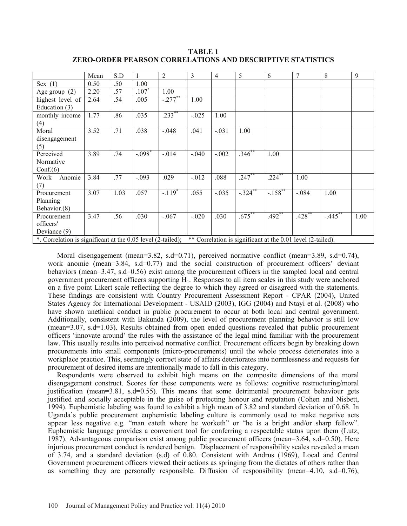**TABLE 1 ZERO-ORDER PEARSON CORRELATIONS AND DESCRIPTIVE STATISTICS**

|                                                                                                                            | Mean | S.D  |                      | 2          | 3        | 4       | 5           | 6                     | 7         | 8           | 9    |
|----------------------------------------------------------------------------------------------------------------------------|------|------|----------------------|------------|----------|---------|-------------|-----------------------|-----------|-------------|------|
| Sex $(1)$                                                                                                                  | 0.50 | .50  | 1.00                 |            |          |         |             |                       |           |             |      |
| Age group $(2)$                                                                                                            | 2.20 | .57  | .107                 | 1.00       |          |         |             |                       |           |             |      |
| highest level of                                                                                                           | 2.64 | .54  | .005                 | $-.277$ ** | 1.00     |         |             |                       |           |             |      |
| Education $(3)$                                                                                                            |      |      |                      |            |          |         |             |                       |           |             |      |
| monthly income                                                                                                             | 1.77 | .86  | .035                 | $.233$ **  | $-.025$  | 1.00    |             |                       |           |             |      |
| (4)                                                                                                                        |      |      |                      |            |          |         |             |                       |           |             |      |
| Moral                                                                                                                      | 3.52 | .71  | .038                 | $-.048$    | .041     | $-.031$ | 1.00        |                       |           |             |      |
| disengagement                                                                                                              |      |      |                      |            |          |         |             |                       |           |             |      |
| (5)                                                                                                                        |      |      |                      |            |          |         |             |                       |           |             |      |
| Perceived                                                                                                                  | 3.89 | .74  | $-.098$ <sup>*</sup> | $-0.014$   | $-.040$  | $-.002$ | $.346^{**}$ | 1.00                  |           |             |      |
| Normative                                                                                                                  |      |      |                      |            |          |         |             |                       |           |             |      |
| Conf(6)                                                                                                                    |      |      |                      |            |          |         |             |                       |           |             |      |
| Anomie<br>Work                                                                                                             | 3.84 | .77  | $-.093$              | .029       | $-0.012$ | .088    | $.247***$   | $.224$ **             | 1.00      |             |      |
| (7)                                                                                                                        |      |      |                      |            |          |         |             |                       |           |             |      |
| Procurement                                                                                                                | 3.07 | 1.03 | .057                 | $-.119*$   | .055     | $-.035$ | $-.324$ **  | $-.158$ <sup>**</sup> | $-.084$   | 1.00        |      |
| Planning                                                                                                                   |      |      |                      |            |          |         |             |                       |           |             |      |
| Behavior.(8)                                                                                                               |      |      |                      |            |          |         |             |                       |           |             |      |
| Procurement                                                                                                                | 3.47 | .56  | .030                 | $-.067$    | $-.020$  | .030    | $.675$ **   | $.492$ **             | $.428$ ** | $-445^{**}$ | 1.00 |
| officers'                                                                                                                  |      |      |                      |            |          |         |             |                       |           |             |      |
| Deviance (9)                                                                                                               |      |      |                      |            |          |         |             |                       |           |             |      |
| ** Correlation is significant at the 0.01 level (2-tailed).<br>*. Correlation is significant at the 0.05 level (2-tailed); |      |      |                      |            |          |         |             |                       |           |             |      |

Moral disengagement (mean=3.82, s.d=0.71), perceived normative conflict (mean=3.89, s.d=0.74), work anomie (mean=3.84, s.d=0.77) and the social construction of procurement officers' deviant behaviors (mean=3.47, s.d=0.56) exist among the procurement officers in the sampled local and central government procurement officers supporting H1. Responses to all item scales in this study were anchored on a five point Likert scale reflecting the degree to which they agreed or disagreed with the statements. These findings are consistent with Country Procurement Assessment Report - CPAR (2004), United States Agency for International Development - USAID (2003), IGG (2004) and Ntayi et al. (2008) who have shown unethical conduct in public procurement to occur at both local and central government. Additionally, consistent with Bakunda (2009), the level of procurement planning behavior is still low (mean=3.07, s.d=1.03). Results obtained from open ended questions revealed that public procurement officers 'innovate around' the rules with the assistance of the legal mind familiar with the procurement law. This usually results into perceived normative conflict. Procurement officers begin by breaking down procurements into small components (micro-procurements) until the whole process deteriorates into a workplace practice. This, seemingly correct state of affairs deteriorates into normlessness and requests for procurement of desired items are intentionally made to fall in this category.

Respondents were observed to exhibit high means on the composite dimensions of the moral disengagement construct. Scores for these components were as follows: cognitive restructuring/moral justification (mean=3.81, s.d=0.55). This means that some detrimental procurement behaviour gets justified and socially acceptable in the guise of protecting honour and reputation (Cohen and Nisbett, 1994). Euphemistic labeling was found to exhibit a high mean of 3.82 and standard deviation of 0.68. In Uganda's public procurement euphemistic labeling culture is commonly used to make negative acts appear less negative e.g. "man eateth where he worketh" or "he is a bright and/or sharp fellow". Euphemistic language provides a convenient tool for conferring a respectable status upon them (Lutz, 1987). Advantageous comparison exist among public procurement officers (mean=3.64, s.d=0.50). Here injurious procurement conduct is rendered benign. Displacement of responsibility scales revealed a mean of 3.74, and a standard deviation (s.d) of 0.80. Consistent with Andrus (1969), Local and Central Government procurement officers viewed their actions as springing from the dictates of others rather than as something they are personally responsible. Diffusion of responsibility (mean=4.10, s.d=0.76),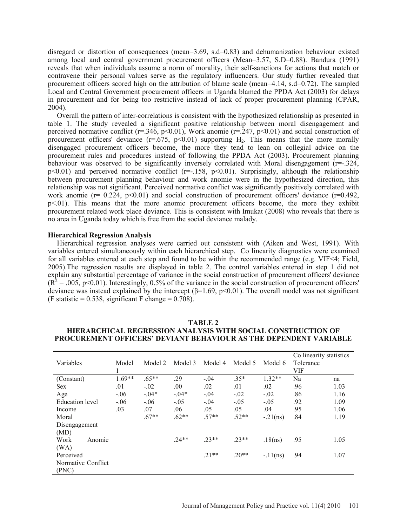disregard or distortion of consequences (mean=3.69, s.d=0.83) and dehumanization behaviour existed among local and central government procurement officers (Mean=3.57, S.D=0.88). Bandura (1991) reveals that when individuals assume a norm of morality, their self-sanctions for actions that match or contravene their personal values serve as the regulatory influencers. Our study further revealed that procurement officers scored high on the attribution of blame scale (mean=4.14, s.d=0.72). The sampled Local and Central Government procurement officers in Uganda blamed the PPDA Act (2003) for delays in procurement and for being too restrictive instead of lack of proper procurement planning (CPAR, 2004).

Overall the pattern of inter-correlations is consistent with the hypothesized relationship as presented in table 1. The study revealed a significant positive relationship between moral disengagement and perceived normative conflict ( $r=346$ ,  $p<0.01$ ), Work anomie ( $r=247$ ,  $p<0.01$ ) and social construction of procurement officers' deviance  $(r=675, p<0.01)$  supporting H<sub>2</sub>. This means that the more morally disengaged procurement officers become, the more they tend to lean on collegial advice on the procurement rules and procedures instead of following the PPDA Act (2003). Procurement planning behaviour was observed to be significantly inversely correlated with Moral disengagement (r=-.324,  $p<0.01$ ) and perceived normative conflict ( $r=-158$ ,  $p<0.01$ ). Surprisingly, although the relationship between procurement planning behaviour and work anomie were in the hypothesized direction, this relationship was not significant. Perceived normative conflict was significantly positively correlated with work anomie ( $r= 0.224$ ,  $p<0.01$ ) and social construction of procurement officers' deviance ( $r=0.492$ , p<.01). This means that the more anomic procurement officers become, the more they exhibit procurement related work place deviance. This is consistent with Imukat (2008) who reveals that there is no area in Uganda today which is free from the social deviance malady.

#### **Hierarchical Regression Analysis**

Hierarchical regression analyses were carried out consistent with (Aiken and West, 1991). With variables entered simultaneously within each hierarchical step. Co linearity diagnostics were examined for all variables entered at each step and found to be within the recommended range (e.g. VIF<4; Field, 2005).The regression results are displayed in table 2. The control variables entered in step 1 did not explain any substantial percentage of variance in the social construction of procurement officers' deviance  $(R^2 = .005, p<0.01)$ . Interestingly, 0.5% of the variance in the social construction of procurement officers' deviance was instead explained by the intercept ( $\beta$ =1.69, p<0.01). The overall model was not significant (F statistic =  $0.538$ , significant F change =  $0.708$ ).

|                        |          |          |          |         |         |            | Co linearity statistics |      |
|------------------------|----------|----------|----------|---------|---------|------------|-------------------------|------|
| Variables              | Model    | Model 2  | Model 3  | Model 4 | Model 5 | Model 6    | Tolerance               |      |
|                        | 1        |          |          |         |         |            | <b>VIF</b>              |      |
| (Constant)             | $1.69**$ | $.65**$  | .29      | $-.04$  | $.35*$  | $1.32**$   | Na                      | na   |
| <b>Sex</b>             | .01      | $-.02$   | .00.     | .02     | .01     | .02        | .96                     | 1.03 |
| Age                    | $-0.06$  | $-0.04*$ | $-0.04*$ | $-.04$  | $-.02$  | $-.02$     | .86                     | 1.16 |
| <b>Education</b> level | $-.06$   | $-.06$   | $-.05$   | $-.04$  | $-.05$  | $-.05$     | .92                     | 1.09 |
| Income                 | .03      | .07      | .06      | .05     | .05     | .04        | .95                     | 1.06 |
| Moral                  |          | $.67**$  | $.62**$  | $.57**$ | $.52**$ | $-.21(ns)$ | .84                     | 1.19 |
| Disengagement          |          |          |          |         |         |            |                         |      |
| (MD)                   |          |          |          |         |         |            |                         |      |
| Work<br>Anomie         |          |          | $.24**$  | $23**$  | $.23**$ | .18(ns)    | .95                     | 1.05 |
| (WA)                   |          |          |          |         |         |            |                         |      |
| Perceived              |          |          |          | $.21**$ | $.20**$ | $-.11(ns)$ | .94                     | 1.07 |
| Normative Conflict     |          |          |          |         |         |            |                         |      |
| (PNC)                  |          |          |          |         |         |            |                         |      |

| TABLE 2                                                           |
|-------------------------------------------------------------------|
| HIERARCHICAL REGRESSION ANALYSIS WITH SOCIAL CONSTRUCTION OF      |
| PROCUREMENT OFFICERS' DEVIANT BEHAVIOUR AS THE DEPENDENT VARIABLE |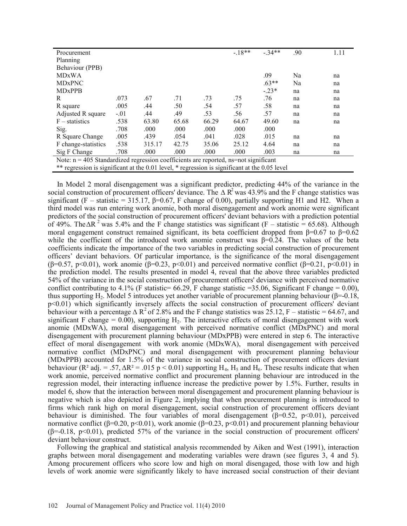| Procurement                                                                                   |        |        |       |       | $-18**$ | $-34**$ | .90 | 1.11 |  |
|-----------------------------------------------------------------------------------------------|--------|--------|-------|-------|---------|---------|-----|------|--|
| Planning                                                                                      |        |        |       |       |         |         |     |      |  |
| Behaviour (PPB)                                                                               |        |        |       |       |         |         |     |      |  |
| <b>MDxWA</b>                                                                                  |        |        |       |       |         | .09     | Na  | na   |  |
| <b>MD<sub>xPNC</sub></b>                                                                      |        |        |       |       |         | $.63**$ | Na  | na   |  |
| <b>MDxPPB</b>                                                                                 |        |        |       |       |         | $-.23*$ | na  | na   |  |
| R                                                                                             | .073   | .67    | .71   | .73   | .75     | .76     | na  | na   |  |
| R square                                                                                      | .005   | .44    | .50   | .54   | .57     | .58     | na  | na   |  |
| Adjusted R square                                                                             | $-.01$ | .44    | .49   | .53   | .56     | .57     | na  | na   |  |
| $F -$ statistics                                                                              | .538   | 63.80  | 65.68 | 66.29 | 64.67   | 49.60   | na  | na   |  |
| Sig.                                                                                          | .708   | .000   | .000  | .000  | .000    | .000    |     |      |  |
| R Square Change                                                                               | .005   | .439   | .054  | .041  | .028    | .015    | na  | na   |  |
| F change-statistics                                                                           | .538   | 315.17 | 42.75 | 35.06 | 25.12   | 4.64    | na  | na   |  |
| Sig F Change                                                                                  | .708   | .000   | .000  | .000  | .000    | .003    | na  | na   |  |
| Note: $n = 405$ Standardized regression coefficients are reported, ns=not significant         |        |        |       |       |         |         |     |      |  |
| ** regression is significant at the 0.01 level, * regression is significant at the 0.05 level |        |        |       |       |         |         |     |      |  |

In Model 2 moral disengagement was a significant predictor, predicting 44% of the variance in the social construction of procurement officers' deviance. The  $\Delta R^2$  was 43.9% and the F change statistics was significant (F – statistic = 315.17,  $\beta$ =0.67, F change of 0.00), partially supporting H1 and H2. When a third model was run entering work anomie, both moral disengagement and work anomie were significant predictors of the social construction of procurement officers' deviant behaviors with a prediction potential of 49%. The  $\Delta R^2$  was 5.4% and the F change statistics was significant (F – statistic = 65.68). Although moral engagement construct remained significant, its beta coefficient dropped from  $\beta = 0.67$  to  $\beta = 0.62$ while the coefficient of the introduced work anomie construct was  $\beta$ =0.24. The values of the beta coefficients indicate the importance of the two variables in predicting social construction of procurement officers' deviant behaviors. Of particular importance, is the significance of the moral disengagement  $(\beta = 0.57, p < 0.01)$ , work anomie  $(\beta = 0.23, p < 0.01)$  and perceived normative conflict  $(\beta = 0.21, p < 0.01)$  in the prediction model. The results presented in model 4, reveal that the above three variables predicted 54% of the variance in the social construction of procurement officers' deviance with perceived normative conflict contributing to 4.1% (F statistic=  $66.29$ , F change statistic = 35.06, Significant F change = 0.00), thus supporting H<sub>2</sub>. Model 5 introduces yet another variable of procurement planning behaviour ( $\beta$ =-0.18, p<0.01) which significantly inversely affects the social construction of procurement officers' deviant behaviour with a percentage  $\triangle R^2$  of 2.8% and the F change statistics was 25.12, F – statistic = 64.67, and significant F change =  $0.00$ ), supporting H<sub>2</sub>. The interactive effects of moral disengagement with work anomie (MDxWA), moral disengagement with perceived normative conflict (MDxPNC) and moral disengagement with procurement planning behaviour (MDxPPB) were entered in step 6. The interactive effect of moral disengagement with work anomie (MDxWA), moral disengagement with perceived normative conflict (MDxPNC) and moral disengagement with procurement planning behaviour (MDxPPB) accounted for 1.5% of the variance in social construction of procurement officers deviant behaviour ( $\mathbb{R}^2$  adj. = .57,  $\Delta \mathbb{R}^2$  = .015 p < 0.01) supporting H<sub>4</sub>, H<sub>5</sub> and H<sub>6</sub>. These results indicate that when work anomie, perceived normative conflict and procurement planning behaviour are introduced in the regression model, their interacting influence increase the predictive power by 1.5%. Further, results in model 6, show that the interaction between moral disengagement and procurement planning behaviour is negative which is also depicted in Figure 2, implying that when procurement planning is introduced to firms which rank high on moral disengagement, social construction of procurement officers deviant behaviour is diminished. The four variables of moral disengagement  $(\beta=0.52, p<0.01)$ , perceived normative conflict ( $\beta$ =0.20, p<0.01), work anomie ( $\beta$ =0.23, p<0.01) and procurement planning behaviour  $(\beta = -0.18, \ p \le 0.01)$ , predicted 57% of the variance in the social construction of procurement officers' deviant behaviour construct.

Following the graphical and statistical analysis recommended by Aiken and West (1991), interaction graphs between moral disengagement and moderating variables were drawn (see figures 3, 4 and 5). Among procurement officers who score low and high on moral disengaged, those with low and high levels of work anomie were significantly likely to have increased social construction of their deviant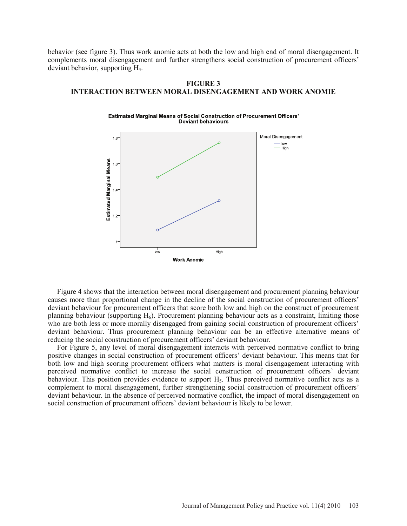behavior (see figure 3). Thus work anomie acts at both the low and high end of moral disengagement. It complements moral disengagement and further strengthens social construction of procurement officers' deviant behavior, supporting H4.

# **FIGURE 3 INTERACTION BETWEEN MORAL DISENGAGEMENT AND WORK ANOMIE**





Figure 4 shows that the interaction between moral disengagement and procurement planning behaviour causes more than proportional change in the decline of the social construction of procurement officers' deviant behaviour for procurement officers that score both low and high on the construct of procurement planning behaviour (supporting  $H_6$ ). Procurement planning behaviour acts as a constraint, limiting those who are both less or more morally disengaged from gaining social construction of procurement officers' deviant behaviour. Thus procurement planning behaviour can be an effective alternative means of reducing the social construction of procurement officers' deviant behaviour.

For Figure 5, any level of moral disengagement interacts with perceived normative conflict to bring positive changes in social construction of procurement officers' deviant behaviour. This means that for both low and high scoring procurement officers what matters is moral disengagement interacting with perceived normative conflict to increase the social construction of procurement officers' deviant behaviour. This position provides evidence to support  $H_5$ . Thus perceived normative conflict acts as a complement to moral disengagement, further strengthening social construction of procurement officers' deviant behaviour. In the absence of perceived normative conflict, the impact of moral disengagement on social construction of procurement officers' deviant behaviour is likely to be lower.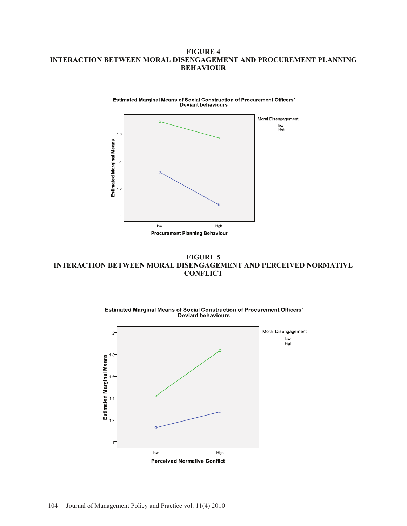# **FIGURE 4 INTERACTION BETWEEN MORAL DISENGAGEMENT AND PROCUREMENT PLANNING BEHAVIOUR**



**FIGURE 5 INTERACTION BETWEEN MORAL DISENGAGEMENT AND PERCEIVED NORMATIVE CONFLICT**





**Estimated Marginal Means of Social Construction of Procurement Officers' Deviant behaviours**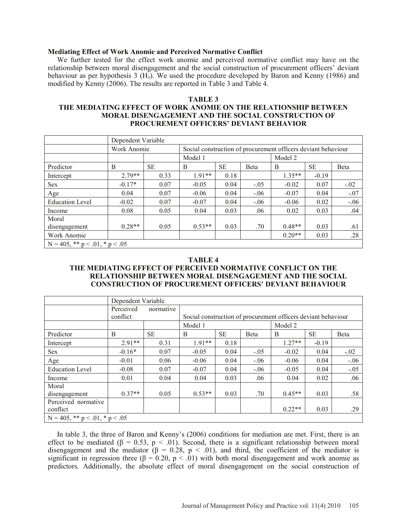### **Mediating Effect of Work Anomie and Perceived Normative Conflict**

We further tested for the effect work anomie and perceived normative conflict may have on the relationship between moral disengagement and the social construction of procurement officers' deviant behaviour as per hypothesis 3 (H3). We used the procedure developed by Baron and Kenny (1986) and modified by Kenny (2006). The results are reported in Table 3 and Table 4.

#### **TABLE 3**

# **THE MEDIATING EFFECT OF WORK ANOMIE ON THE RELATIONSHIP BETWEEN MORAL DISENGAGEMENT AND THE SOCIAL CONSTRUCTION OF PROCUREMENT OFFICERS' DEVIANT BEHAVIOR**

|                                        | Dependent Variable |           |                                                               |           |              |          |           |              |  |  |
|----------------------------------------|--------------------|-----------|---------------------------------------------------------------|-----------|--------------|----------|-----------|--------------|--|--|
|                                        | Work Anomie        |           | Social construction of procurement officers deviant behaviour |           |              |          |           |              |  |  |
|                                        |                    |           | Model 1                                                       |           |              | Model 2  |           |              |  |  |
| Predictor                              | B                  | <b>SE</b> | B                                                             | <b>SE</b> | <b>B</b> eta | B        | <b>SE</b> | <b>B</b> eta |  |  |
| Intercept                              | $2.79**$           | 0.33      | $1.91**$                                                      | 0.18      |              | $1.35**$ | $-0.19$   |              |  |  |
| Sex                                    | $-0.17*$           | 0.07      | $-0.05$                                                       | 0.04      | $-.05$       | $-0.02$  | 0.07      | $-.02$       |  |  |
| Age                                    | 0.04               | 0.07      | $-0.06$                                                       | 0.04      | $-.06$       | $-0.07$  | 0.04      | $-.07$       |  |  |
| <b>Education Level</b>                 | $-0.02$            | 0.07      | $-0.07$                                                       | 0.04      | $-.06$       | $-0.06$  | 0.02      | $-.06$       |  |  |
| Income                                 | 0.08               | 0.05      | 0.04                                                          | 0.03      | .06          | 0.02     | 0.03      | .04          |  |  |
| Moral                                  |                    |           |                                                               |           |              |          |           |              |  |  |
| disengagement                          | $0.28**$           | 0.05      | $0.53**$                                                      | 0.03      | .70          | $0.48**$ | 0.03      | .61          |  |  |
| Work Anomie                            |                    |           |                                                               |           |              | $0.20**$ | 0.03      | .28          |  |  |
| $N = 405$ , ** $p < .01$ , * $p < .05$ |                    |           |                                                               |           |              |          |           |              |  |  |

#### **TABLE 4**

# **THE MEDIATING EFFECT OF PERCEIVED NORMATIVE CONFLICT ON THE RELATIONSHIP BETWEEN MORAL DISENGAGEMENT AND THE SOCIAL CONSTRUCTION OF PROCUREMENT OFFICERS' DEVIANT BEHAVIOUR**

|                                        | Dependent Variable |           |                                                               |           |        |          |           |              |  |  |
|----------------------------------------|--------------------|-----------|---------------------------------------------------------------|-----------|--------|----------|-----------|--------------|--|--|
|                                        | Perceived          | normative |                                                               |           |        |          |           |              |  |  |
|                                        | conflict           |           | Social construction of procurement officers deviant behaviour |           |        |          |           |              |  |  |
|                                        |                    |           | Model 1                                                       |           |        | Model 2  |           |              |  |  |
| Predictor                              | B                  | <b>SE</b> | B                                                             | <b>SE</b> | Beta   | B        | <b>SE</b> | <b>B</b> eta |  |  |
| Intercept                              | $2.91**$           | 0.31      | $191**$                                                       | 0.18      |        | $1.27**$ | $-0.19$   |              |  |  |
| Sex                                    | $-0.16*$           | 0.07      | $-0.05$                                                       | 0.04      | $-.05$ | $-0.02$  | 0.04      | $-.02$       |  |  |
| Age                                    | $-0.01$            | 0.06      | $-0.06$                                                       | 0.04      | $-.06$ | $-0.06$  | 0.04      | $-.06$       |  |  |
| <b>Education Level</b>                 | $-0.08$            | 0.07      | $-0.07$                                                       | 0.04      | $-.06$ | $-0.05$  | 0.04      | $-.05$       |  |  |
| Income                                 | 0.01               | 0.04      | 0.04                                                          | 0.03      | .06    | 0.04     | 0.02      | .06          |  |  |
| Moral                                  |                    |           |                                                               |           |        |          |           |              |  |  |
| disengagement                          | $0.37**$           | 0.05      | $0.53**$                                                      | 0.03      | .70    | $0.45**$ | 0.03      | .58          |  |  |
| Perceived normative                    |                    |           |                                                               |           |        |          |           |              |  |  |
| conflict                               |                    |           |                                                               |           |        | $0.22**$ | 0.03      | .29          |  |  |
| $N = 405$ , ** $p < .01$ , * $p < .05$ |                    |           |                                                               |           |        |          |           |              |  |  |

In table 3, the three of Baron and Kenny's (2006) conditions for mediation are met. First, there is an effect to be mediated ( $\beta = 0.53$ ,  $p < .01$ ). Second, there is a significant relationship between moral disengagement and the mediator  $(\beta = 0.28, p < .01)$ , and third, the coefficient of the mediator is significant in regression three ( $\beta = 0.20$ ,  $p < .01$ ) with both moral disengagement and work anomie as predictors. Additionally, the absolute effect of moral disengagement on the social construction of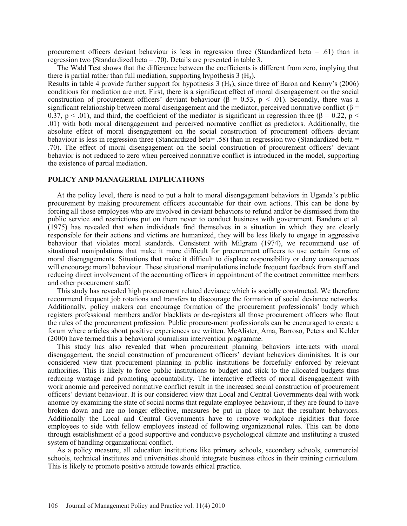procurement officers deviant behaviour is less in regression three (Standardized beta = .61) than in regression two (Standardized beta = .70). Details are presented in table 3.

The Wald Test shows that the difference between the coefficients is different from zero, implying that there is partial rather than full mediation, supporting hypothesis  $3(H_3)$ .

Results in table 4 provide further support for hypothesis 3 (H3), since three of Baron and Kenny's (2006) conditions for mediation are met. First, there is a significant effect of moral disengagement on the social construction of procurement officers' deviant behaviour ( $\beta = 0.53$ ,  $p < .01$ ). Secondly, there was a significant relationship between moral disengagement and the mediator, perceived normative conflict ( $\beta$  = 0.37, p  $\leq$  0.01), and third, the coefficient of the mediator is significant in regression three ( $\beta$  = 0.22, p  $\leq$ .01) with both moral disengagement and perceived normative conflict as predictors. Additionally, the absolute effect of moral disengagement on the social construction of procurement officers deviant behaviour is less in regression three (Standardized beta= .58) than in regression two (Standardized beta = .70). The effect of moral disengagement on the social construction of procurement officers' deviant behavior is not reduced to zero when perceived normative conflict is introduced in the model, supporting the existence of partial mediation.

# **POLICY AND MANAGERIAL IMPLICATIONS**

At the policy level, there is need to put a halt to moral disengagement behaviors in Uganda's public procurement by making procurement officers accountable for their own actions. This can be done by forcing all those employees who are involved in deviant behaviors to refund and/or be dismissed from the public service and restrictions put on them never to conduct business with government. Bandura et al. (1975) has revealed that when individuals find themselves in a situation in which they are clearly responsible for their actions and victims are humanized, they will be less likely to engage in aggressive behaviour that violates moral standards. Consistent with Milgram (1974), we recommend use of situational manipulations that make it more difficult for procurement officers to use certain forms of moral disengagements. Situations that make it difficult to displace responsibility or deny consequences will encourage moral behaviour. These situational manipulations include frequent feedback from staff and reducing direct involvement of the accounting officers in appointment of the contract committee members and other procurement staff.

This study has revealed high procurement related deviance which is socially constructed. We therefore recommend frequent job rotations and transfers to discourage the formation of social deviance networks. Additionally, policy makers can encourage formation of the procurement professionals' body which registers professional members and/or blacklists or de-registers all those procurement officers who flout the rules of the procurement profession. Public procure-ment professionals can be encouraged to create a forum where articles about positive experiences are written. McAlister, Ama, Barroso, Peters and Kelder (2000) have termed this a behavioral journalism intervention programme.

This study has also revealed that when procurement planning behaviors interacts with moral disengagement, the social construction of procurement officers' deviant behaviors diminishes. It is our considered view that procurement planning in public institutions be forcefully enforced by relevant authorities. This is likely to force public institutions to budget and stick to the allocated budgets thus reducing wastage and promoting accountability. The interactive effects of moral disengagement with work anomie and perceived normative conflict result in the increased social construction of procurement officers' deviant behaviour. It is our considered view that Local and Central Governments deal with work anomie by examining the state of social norms that regulate employee behaviour, if they are found to have broken down and are no longer effective, measures be put in place to halt the resultant behaviors. Additionally the Local and Central Governments have to remove workplace rigidities that force employees to side with fellow employees instead of following organizational rules. This can be done through establishment of a good supportive and conducive psychological climate and instituting a trusted system of handling organizational conflict.

As a policy measure, all education institutions like primary schools, secondary schools, commercial schools, technical institutes and universities should integrate business ethics in their training curriculum. This is likely to promote positive attitude towards ethical practice.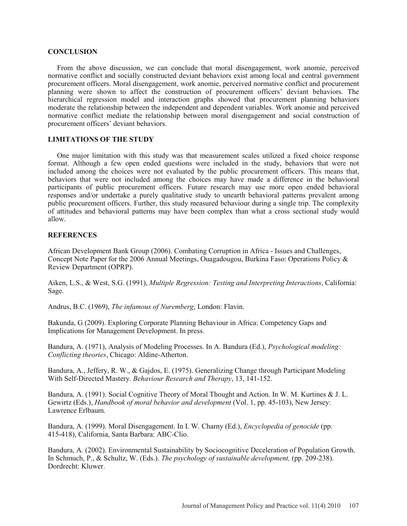#### **CONCLUSION**

From the above discussion, we can conclude that moral disengagement, work anomie, perceived normative conflict and socially constructed deviant behaviors exist among local and central government procurement officers. Moral disengagement, work anomie, perceived normative conflict and procurement planning were shown to affect the construction of procurement officers' deviant behaviors. The hierarchical regression model and interaction graphs showed that procurement planning behaviors moderate the relationship between the independent and dependent variables. Work anomie and perceived normative conflict mediate the relationship between moral disengagement and social construction of procurement officers' deviant behaviors.

# **LIMITATIONS OF THE STUDY**

One major limitation with this study was that measurement scales utilized a fixed choice response format. Although a few open ended questions were included in the study, behaviors that were not included among the choices were not evaluated by the public procurement officers. This means that, behaviors that were not included among the choices may have made a difference in the behavioral participants of public procurement officers. Future research may use more open ended behavioral responses and/or undertake a purely qualitative study to unearth behavioral patterns prevalent among public procurement officers. Further, this study measured behaviour during a single trip. The complexity of attitudes and behavioral patterns may have been complex than what a cross sectional study would allow.

### **REFERENCES**

African Development Bank Group (2006). Combating Corruption in Africa - Issues and Challenges, Concept Note Paper for the 2006 Annual Meetings, Ouagadougou, Burkina Faso: Operations Policy & Review Department (OPRP).

Aiken, L.S., & West, S.G. (1991), *Multiple Regression: Testing and Interpreting Interactions*, California: Sage.

Andrus, B.C. (1969), *The infamous of Nuremberg*, London: Flavin.

Bakunda, G (2009). Exploring Corporate Planning Behaviour in Africa: Competency Gaps and Implications for Management Development. In press.

Bandura, A. (1971), Analysis of Modeling Processes. In A. Bandura (Ed.), *Psychological modeling: Conflicting theories*, Chicago: Aldine-Atherton.

Bandura, A., Jeffery, R. W., & Gajdos, E. (1975). Generalizing Change through Participant Modeling With Self-Directed Mastery*. Behaviour Research and Therapy*, 13, 141-152.

Bandura, A. (1991). Social Cognitive Theory of Moral Thought and Action. In W. M. Kurtines & J. L. Gewirtz (Eds.), *Handbook of moral behavior and development* (Vol. 1, pp. 45-103), New Jersey: Lawrence Erlbaum.

Bandura, A. (1999). Moral Disengagement. In I. W. Charny (Ed.), *Encyclopedia of genocide* (pp. 415-418), California, Santa Barbara: ABC-Clio.

Bandura, A. (2002). Environmental Sustainability by Sociocognitive Deceleration of Population Growth. In Schmuch, P., & Schultz, W. (Eds.). *The psychology of sustainable development,* (pp. 209-238). Dordrecht: Kluwer.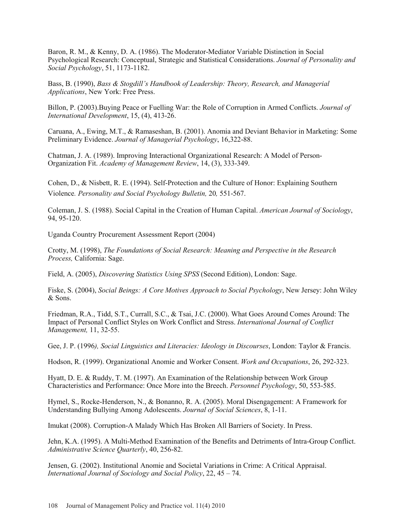Baron, R. M., & Kenny, D. A. (1986). The Moderator-Mediator Variable Distinction in Social Psychological Research: Conceptual, Strategic and Statistical Considerations. *Journal of Personality and Social Psychology*, 51, 1173-1182.

Bass, B. (1990), *Bass & Stogdill's Handbook of Leadership: Theory, Research, and Managerial Applications*, New York: Free Press.

Billon, P. (2003).Buying Peace or Fuelling War: the Role of Corruption in Armed Conflicts. *Journal of International Development*, 15, (4), 413-26.

Caruana, A., Ewing, M.T., & Ramaseshan, B. (2001). Anomia and Deviant Behavior in Marketing: Some Preliminary Evidence. *Journal of Managerial Psychology*, 16,322-88.

Chatman, J. A. (1989). Improving Interactional Organizational Research: A Model of Person-Organization Fit. *Academy of Management Review*, 14, (3), 333-349.

Cohen, D., & Nisbett, R. E. (1994). Self-Protection and the Culture of Honor: Explaining Southern Violence*. Personality and Social Psychology Bulletin,* 20*,* 551-567.

Coleman, J. S. (1988). Social Capital in the Creation of Human Capital. *American Journal of Sociology*, 94, 95-120.

Uganda Country Procurement Assessment Report (2004)

Crotty, M. (1998), *The Foundations of Social Research: Meaning and Perspective in the Research Process,* California: Sage.

Field, A. (2005), *Discovering Statistics Using SPSS* (Second Edition), London: Sage.

Fiske, S. (2004), *Social Beings: A Core Motives Approach to Social Psychology*, New Jersey: John Wiley & Sons.

Friedman, R.A., Tidd, S.T., Currall, S.C., & Tsai, J.C. (2000). What Goes Around Comes Around: The Impact of Personal Conflict Styles on Work Conflict and Stress. *International Journal of Conflict Management,* 11, 32-55.

Gee, J. P. (1996*), Social Linguistics and Literacies: Ideology in Discourses*, London: Taylor & Francis.

Hodson, R. (1999). Organizational Anomie and Worker Consent. *Work and Occupations*, 26, 292-323.

Hyatt, D. E. & Ruddy, T. M. (1997). An Examination of the Relationship between Work Group Characteristics and Performance: Once More into the Breech. *Personnel Psychology*, 50, 553-585.

Hymel, S., Rocke-Henderson, N., & Bonanno, R. A. (2005). Moral Disengagement: A Framework for Understanding Bullying Among Adolescents. *Journal of Social Sciences*, 8, 1-11.

Imukat (2008). Corruption-A Malady Which Has Broken All Barriers of Society. In Press.

Jehn, K.A. (1995). A Multi-Method Examination of the Benefits and Detriments of Intra-Group Conflict. *Administrative Science Quarterly*, 40, 256-82.

Jensen, G. (2002). Institutional Anomie and Societal Variations in Crime: A Critical Appraisal. *International Journal of Sociology and Social Policy*, 22, 45 – 74.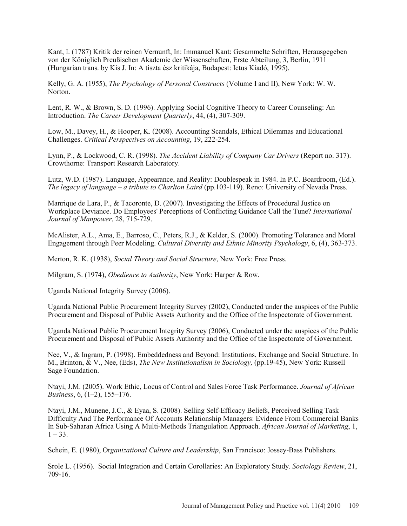Kant, I. (1787) Kritik der reinen Vernunft, In: Immanuel Kant: Gesammelte Schriften, Herausgegeben von der Königlich Preußischen Akademie der Wissenschaften, Erste Abteilung, 3, Berlin, 1911 (Hungarian trans. by Kis J. In: A tiszta ész kritikája, Budapest: Ictus Kiadó, 1995).

Kelly, G. A. (1955), *The Psychology of Personal Constructs* (Volume I and II), New York: W. W. Norton.

Lent, R. W., & Brown, S. D. (1996). Applying Social Cognitive Theory to Career Counseling: An Introduction. *The Career Development Quarterly*, 44, (4), 307-309.

Low, M., Davey, H., & Hooper, K. (2008). Accounting Scandals, Ethical Dilemmas and Educational Challenges. *Critical Perspectives on Accounting*, 19, 222-254.

Lynn, P., & Lockwood, C. R. (1998). *The Accident Liability of Company Car Drivers* (Report no. 317). Crowthorne: Transport Research Laboratory.

Lutz, W.D. (1987). Language, Appearance, and Reality: Doublespeak in 1984. In P.C. Boardroom, (Ed.). *The legacy of language – a tribute to Charlton Laird* (pp.103-119). Reno: University of Nevada Press.

Manrique de Lara, P., & Tacoronte, D. (2007). Investigating the Effects of Procedural Justice on Workplace Deviance. Do Employees' Perceptions of Conflicting Guidance Call the Tune? *International Journal of Manpower*, 28, 715-729.

McAlister, A.L., Ama, E., Barroso, C., Peters, R.J., & Kelder, S. (2000). Promoting Tolerance and Moral Engagement through Peer Modeling. *Cultural Diversity and Ethnic Minority Psychology*, 6, (4), 363-373.

Merton, R. K. (1938), *Social Theory and Social Structure*, New York: Free Press.

Milgram, S. (1974), *Obedience to Authority*, New York: Harper & Row.

Uganda National Integrity Survey (2006).

Uganda National Public Procurement Integrity Survey (2002), Conducted under the auspices of the Public Procurement and Disposal of Public Assets Authority and the Office of the Inspectorate of Government.

Uganda National Public Procurement Integrity Survey (2006), Conducted under the auspices of the Public Procurement and Disposal of Public Assets Authority and the Office of the Inspectorate of Government.

Nee, V., & Ingram, P. (1998). Embeddedness and Beyond: Institutions, Exchange and Social Structure. In M., Brinton, & V., Nee, (Eds), *The New Institutionalism in Sociology,* (pp.19-45), New York: Russell Sage Foundation.

Ntayi, J.M. (2005). Work Ethic, Locus of Control and Sales Force Task Performance. *Journal of African Business*, 6, (1–2), 155–176.

Ntayi, J.M., Munene, J.C., & Eyaa, S. (2008). Selling Self-Efficacy Beliefs, Perceived Selling Task Difficulty And The Performance Of Accounts Relationship Managers: Evidence From Commercial Banks In Sub-Saharan Africa Using A Multi-Methods Triangulation Approach. *African Journal of Marketing*, 1,  $1 - 33$ .

Schein, E. (1980), Or*ganizational Culture and Leadership*, San Francisco: Jossey-Bass Publishers.

Srole L. (1956). Social Integration and Certain Corollaries: An Exploratory Study. *Sociology Review*, 21, 709-16.